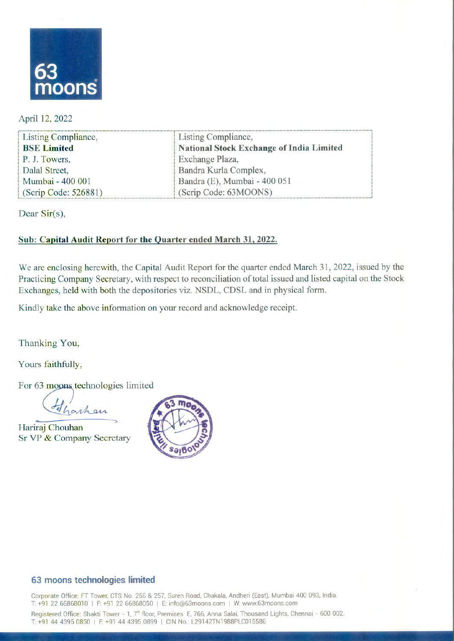

April 12, 2022

| Listing Compliance,  | Listing Compliance,                      |
|----------------------|------------------------------------------|
| <b>BSE Limited</b>   | National Stock Exchange of India Limited |
| P. J. Towers,        | Exchange Plaza,                          |
| Dalal Street,        | Bandra Kurla Complex,                    |
| Mumbai - 400 001     | Bandra (E), Mumbai - 400 051             |
| (Scrip Code: 526881) | (Scrip Code: 63MOONS)                    |

Dear  $Sir(s)$ ,

### Sub: Capital Audit Report for the Quarter ended March 31, 2022.

We are enclosing herewith, the Capital Audit Report for the quarter ended March 31, 2022, issued by the Practicing Company Secretary, with respect to reconciliation of total issued and listed capital on the Stock Exchanges, held with both the depositories viz. NSDL, CDSL and in physical form.

Kindly take the above information on your record and acknowledge receipt.

Thanking You,

Yours faithfully,

For 63 moons technologies limited

Hinhan

**•••**  Hariraj Chouhan Sr VP & Company Secretary



### **63moonstechnologies limited**

Corporate Office: FT Tower, CTS No. 256 & 257, Suren Road, Chakala, Andheri (East), Mumbai 400 093, India. T: +91 22 66868010 | F: +91 22 66868050 | E: info@63moons.com | W: www.63moons.com

Registered Office: Shakti Tower - 1, 7<sup>th</sup> floor, Premises E, 766, Anna Salai, Thousand Lights, Chennai - 600 002. T: +91 44 4395 0850 | F: +91 44 4395 0899 | CIN No.: L29142TN1988PLC015586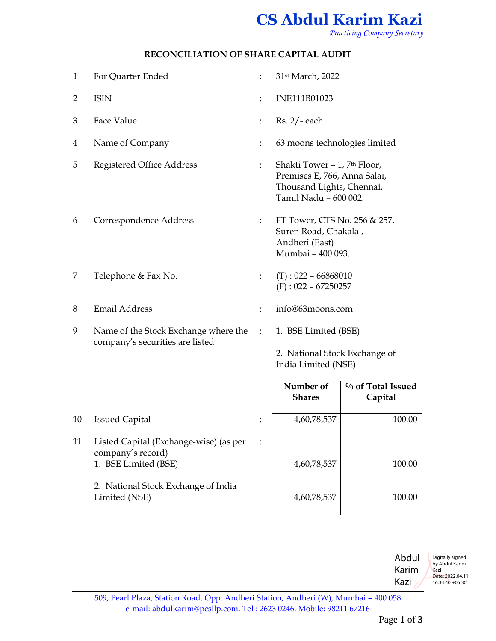# **CS Abdul Karim Kazi**

*Practicing Company Secretary*

#### **RECONCILIATION OF SHARE CAPITAL AUDIT**

| $\mathbf{1}$   | For Quarter Ended                    | $\ddot{\cdot}$       | 31st March, 2022                                                                                                               |                              |  |
|----------------|--------------------------------------|----------------------|--------------------------------------------------------------------------------------------------------------------------------|------------------------------|--|
| $\overline{2}$ | <b>ISIN</b>                          |                      | INE111B01023                                                                                                                   |                              |  |
| 3              | Face Value                           |                      | $Rs. 2/- each$                                                                                                                 |                              |  |
| 4              | Name of Company                      |                      | 63 moons technologies limited                                                                                                  |                              |  |
| 5              | <b>Registered Office Address</b>     | ÷                    | Shakti Tower - 1, 7 <sup>th</sup> Floor,<br>Premises E, 766, Anna Salai,<br>Thousand Lights, Chennai,<br>Tamil Nadu - 600 002. |                              |  |
| 6              | Correspondence Address               | $\ddot{\phantom{0}}$ | FT Tower, CTS No. 256 & 257,<br>Suren Road, Chakala,<br>Andheri (East)<br>Mumbai - 400 093.                                    |                              |  |
| 7              | Telephone & Fax No.                  | $\ddot{\phantom{a}}$ | $(T): 022 - 66868010$<br>$(F): 022 - 67250257$                                                                                 |                              |  |
| 8              | <b>Email Address</b>                 |                      | info@63moons.com                                                                                                               |                              |  |
| 9              | Name of the Stock Exchange where the |                      | 1. BSE Limited (BSE)                                                                                                           |                              |  |
|                | company's securities are listed      |                      | 2. National Stock Exchange of<br>India Limited (NSE)                                                                           |                              |  |
|                |                                      |                      | Number of<br><b>Shares</b>                                                                                                     | % of Total Issued<br>Capital |  |
| 10             | <b>Issued Capital</b>                |                      | 4,60,78,537                                                                                                                    | 100.00                       |  |

- 11 Listed Capital (Exchange-wise) (as per company's record) 1. BSE Limited (BSE) :
	- 2. National Stock Exchange of India Limited (NSE)

| Number of<br><b>Shares</b> | % of Total Issued<br>Capital |
|----------------------------|------------------------------|
| 4,60,78,537                | 100.00                       |
| 4,60,78,537                | 100.00                       |
| 4,60,78,537                | 100.00                       |

Abdul Karim Kazi Digitally signed by Abdul Karim Kazi Date: 2022.04.11 16:34:40 +05'30'

509, Pearl Plaza, Station Road, Opp. Andheri Station, Andheri (W), Mumbai – 400 058 e-mail: [abdulkarim@pcsllp.com,](mailto:abdulkarim@pcsllp.com) Tel : 2623 0246, Mobile: 98211 67216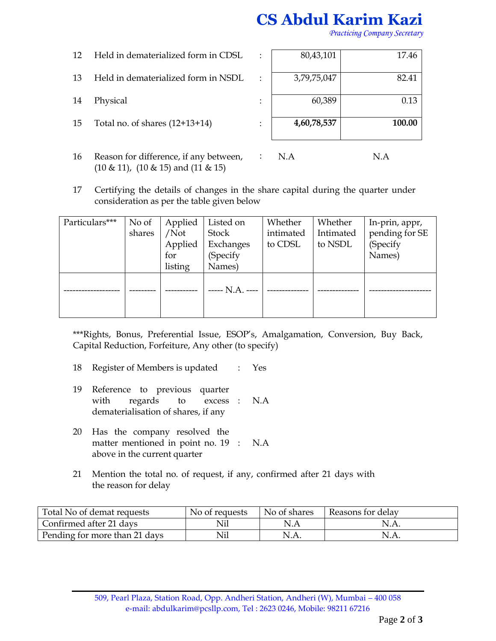## **CS Abdul Karim Kazi**

*Practicing Company Secretary*

- 12 Held in dematerialized form in CDSL :
- 13 Held in dematerialized form in NSDL  $\cdot$ :
- 
- 15 Total no. of shares  $(12+13+14)$  :
- 16 Reason for difference, if any between, (10 & 11), (10 & 15) and (11 & 15)

| 15 | Total no. of shares $(12+13+14)$    | 4,60,78,537 | 100.00 |
|----|-------------------------------------|-------------|--------|
| 14 | Physical                            | 60,389      | 0.13   |
|    |                                     |             |        |
| 13 | Held in dematerialized form in NSDL | 3,79,75,047 | 82.41  |
| 12 | Held in dematerialized form in CDSL | 80,43,101   | 17.46  |
|    |                                     |             |        |

- : N.A N.A
- 17 Certifying the details of changes in the share capital during the quarter under consideration as per the table given below

| Particulars*** | No of  | Applied | Listed on       | Whether   | Whether   | In-prin, appr, |
|----------------|--------|---------|-----------------|-----------|-----------|----------------|
|                | shares | /Not    | Stock           | intimated | Intimated | pending for SE |
|                |        | Applied | Exchanges       | to CDSL   | to NSDL   | (Specify       |
|                |        | for     | (Specify        |           |           | Names)         |
|                |        | listing | Names)          |           |           |                |
|                |        |         | ----- N.A. ---- |           |           |                |
|                |        |         |                 |           |           |                |

\*\*\*Rights, Bonus, Preferential Issue, ESOP's, Amalgamation, Conversion, Buy Back, Capital Reduction, Forfeiture, Any other (to specify)

- 18 Register of Members is updated : Yes
- 19 Reference to previous quarter with regards to excess : dematerialisation of shares, if any N.A
- 20 Has the company resolved the matter mentioned in point no. 19 : above in the current quarter N.A
- 21 Mention the total no. of request, if any, confirmed after 21 days with the reason for delay

| Total No of demat requests    | No of requests | No of shares | Reasons for delay |
|-------------------------------|----------------|--------------|-------------------|
| Confirmed after 21 days       |                | N.A          | N.A.              |
| Pending for more than 21 days |                |              | N.A.              |